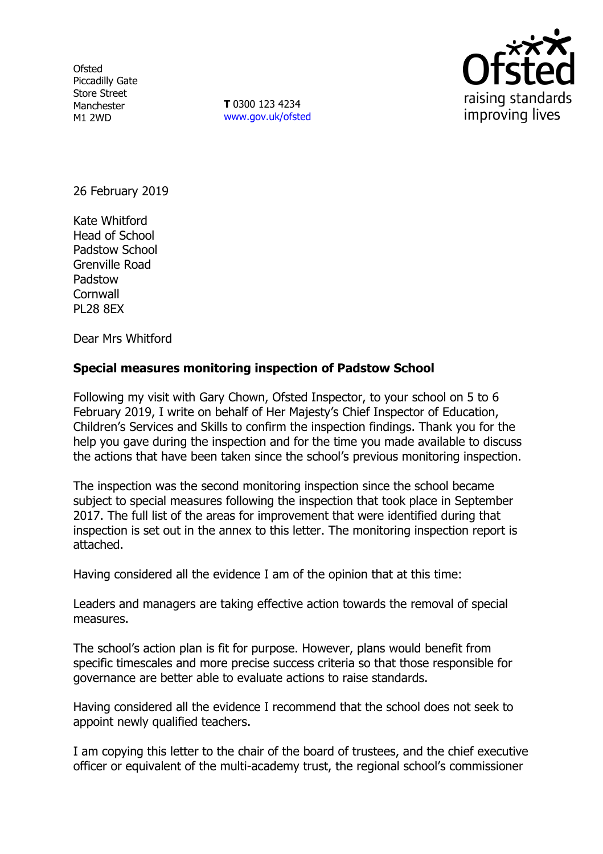**Ofsted** Piccadilly Gate Store Street Manchester M1 2WD

**T** 0300 123 4234 www.gov.uk/ofsted



26 February 2019

Kate Whitford Head of School Padstow School Grenville Road Padstow **Cornwall** PL28 8EX

Dear Mrs Whitford

#### **Special measures monitoring inspection of Padstow School**

Following my visit with Gary Chown, Ofsted Inspector, to your school on 5 to 6 February 2019, I write on behalf of Her Majesty's Chief Inspector of Education, Children's Services and Skills to confirm the inspection findings. Thank you for the help you gave during the inspection and for the time you made available to discuss the actions that have been taken since the school's previous monitoring inspection.

The inspection was the second monitoring inspection since the school became subject to special measures following the inspection that took place in September 2017. The full list of the areas for improvement that were identified during that inspection is set out in the annex to this letter. The monitoring inspection report is attached.

Having considered all the evidence I am of the opinion that at this time:

Leaders and managers are taking effective action towards the removal of special measures.

The school's action plan is fit for purpose. However, plans would benefit from specific timescales and more precise success criteria so that those responsible for governance are better able to evaluate actions to raise standards.

Having considered all the evidence I recommend that the school does not seek to appoint newly qualified teachers.

I am copying this letter to the chair of the board of trustees, and the chief executive officer or equivalent of the multi-academy trust, the regional school's commissioner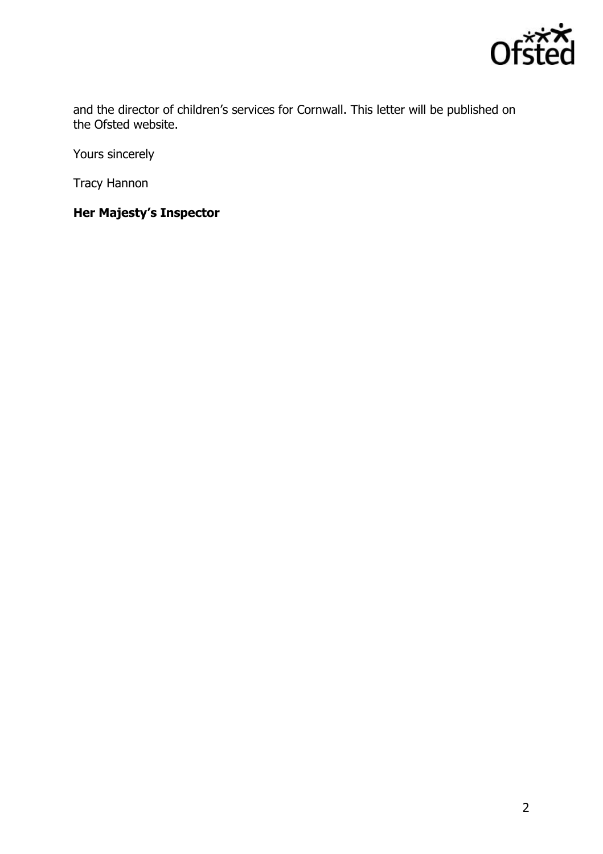

and the director of children's services for Cornwall. This letter will be published on the Ofsted website.

Yours sincerely

Tracy Hannon

# **Her Majesty's Inspector**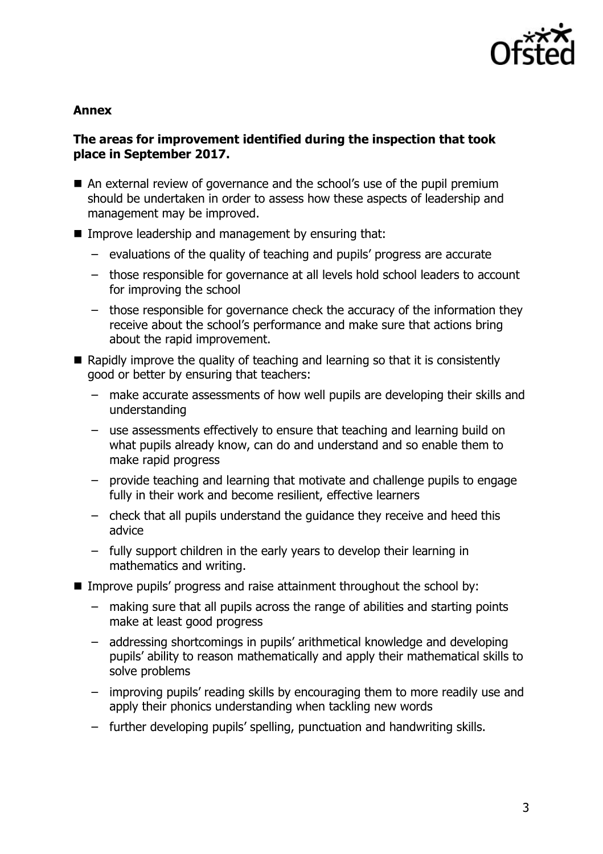

#### **Annex**

# **The areas for improvement identified during the inspection that took place in September 2017.**

- An external review of governance and the school's use of the pupil premium should be undertaken in order to assess how these aspects of leadership and management may be improved.
- **IMPROVE LEADERSHIP and management by ensuring that:** 
	- evaluations of the quality of teaching and pupils' progress are accurate
	- those responsible for governance at all levels hold school leaders to account for improving the school
	- those responsible for governance check the accuracy of the information they receive about the school's performance and make sure that actions bring about the rapid improvement.
- $\blacksquare$  Rapidly improve the quality of teaching and learning so that it is consistently good or better by ensuring that teachers:
	- make accurate assessments of how well pupils are developing their skills and understanding
	- use assessments effectively to ensure that teaching and learning build on what pupils already know, can do and understand and so enable them to make rapid progress
	- provide teaching and learning that motivate and challenge pupils to engage fully in their work and become resilient, effective learners
	- check that all pupils understand the guidance they receive and heed this advice
	- fully support children in the early years to develop their learning in mathematics and writing.
- Improve pupils' progress and raise attainment throughout the school by:
	- making sure that all pupils across the range of abilities and starting points make at least good progress
	- addressing shortcomings in pupils' arithmetical knowledge and developing pupils' ability to reason mathematically and apply their mathematical skills to solve problems
	- improving pupils' reading skills by encouraging them to more readily use and apply their phonics understanding when tackling new words
	- further developing pupils' spelling, punctuation and handwriting skills.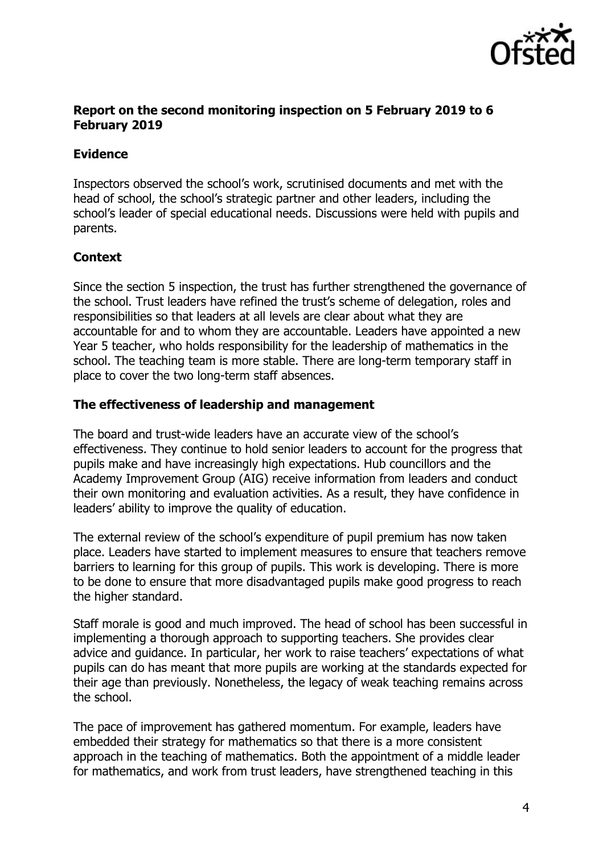

# **Report on the second monitoring inspection on 5 February 2019 to 6 February 2019**

# **Evidence**

Inspectors observed the school's work, scrutinised documents and met with the head of school, the school's strategic partner and other leaders, including the school's leader of special educational needs. Discussions were held with pupils and parents.

# **Context**

Since the section 5 inspection, the trust has further strengthened the governance of the school. Trust leaders have refined the trust's scheme of delegation, roles and responsibilities so that leaders at all levels are clear about what they are accountable for and to whom they are accountable. Leaders have appointed a new Year 5 teacher, who holds responsibility for the leadership of mathematics in the school. The teaching team is more stable. There are long-term temporary staff in place to cover the two long-term staff absences.

# **The effectiveness of leadership and management**

The board and trust-wide leaders have an accurate view of the school's effectiveness. They continue to hold senior leaders to account for the progress that pupils make and have increasingly high expectations. Hub councillors and the Academy Improvement Group (AIG) receive information from leaders and conduct their own monitoring and evaluation activities. As a result, they have confidence in leaders' ability to improve the quality of education.

The external review of the school's expenditure of pupil premium has now taken place. Leaders have started to implement measures to ensure that teachers remove barriers to learning for this group of pupils. This work is developing. There is more to be done to ensure that more disadvantaged pupils make good progress to reach the higher standard.

Staff morale is good and much improved. The head of school has been successful in implementing a thorough approach to supporting teachers. She provides clear advice and guidance. In particular, her work to raise teachers' expectations of what pupils can do has meant that more pupils are working at the standards expected for their age than previously. Nonetheless, the legacy of weak teaching remains across the school.

The pace of improvement has gathered momentum. For example, leaders have embedded their strategy for mathematics so that there is a more consistent approach in the teaching of mathematics. Both the appointment of a middle leader for mathematics, and work from trust leaders, have strengthened teaching in this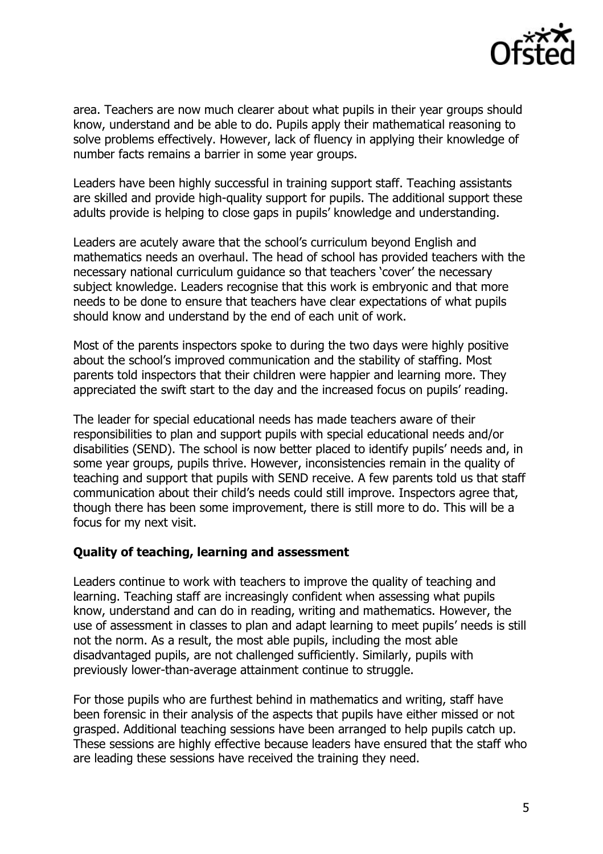

area. Teachers are now much clearer about what pupils in their year groups should know, understand and be able to do. Pupils apply their mathematical reasoning to solve problems effectively. However, lack of fluency in applying their knowledge of number facts remains a barrier in some year groups.

Leaders have been highly successful in training support staff. Teaching assistants are skilled and provide high-quality support for pupils. The additional support these adults provide is helping to close gaps in pupils' knowledge and understanding.

Leaders are acutely aware that the school's curriculum beyond English and mathematics needs an overhaul. The head of school has provided teachers with the necessary national curriculum guidance so that teachers 'cover' the necessary subject knowledge. Leaders recognise that this work is embryonic and that more needs to be done to ensure that teachers have clear expectations of what pupils should know and understand by the end of each unit of work.

Most of the parents inspectors spoke to during the two days were highly positive about the school's improved communication and the stability of staffing. Most parents told inspectors that their children were happier and learning more. They appreciated the swift start to the day and the increased focus on pupils' reading.

The leader for special educational needs has made teachers aware of their responsibilities to plan and support pupils with special educational needs and/or disabilities (SEND). The school is now better placed to identify pupils' needs and, in some year groups, pupils thrive. However, inconsistencies remain in the quality of teaching and support that pupils with SEND receive. A few parents told us that staff communication about their child's needs could still improve. Inspectors agree that, though there has been some improvement, there is still more to do. This will be a focus for my next visit.

#### **Quality of teaching, learning and assessment**

Leaders continue to work with teachers to improve the quality of teaching and learning. Teaching staff are increasingly confident when assessing what pupils know, understand and can do in reading, writing and mathematics. However, the use of assessment in classes to plan and adapt learning to meet pupils' needs is still not the norm. As a result, the most able pupils, including the most able disadvantaged pupils, are not challenged sufficiently. Similarly, pupils with previously lower-than-average attainment continue to struggle.

For those pupils who are furthest behind in mathematics and writing, staff have been forensic in their analysis of the aspects that pupils have either missed or not grasped. Additional teaching sessions have been arranged to help pupils catch up. These sessions are highly effective because leaders have ensured that the staff who are leading these sessions have received the training they need.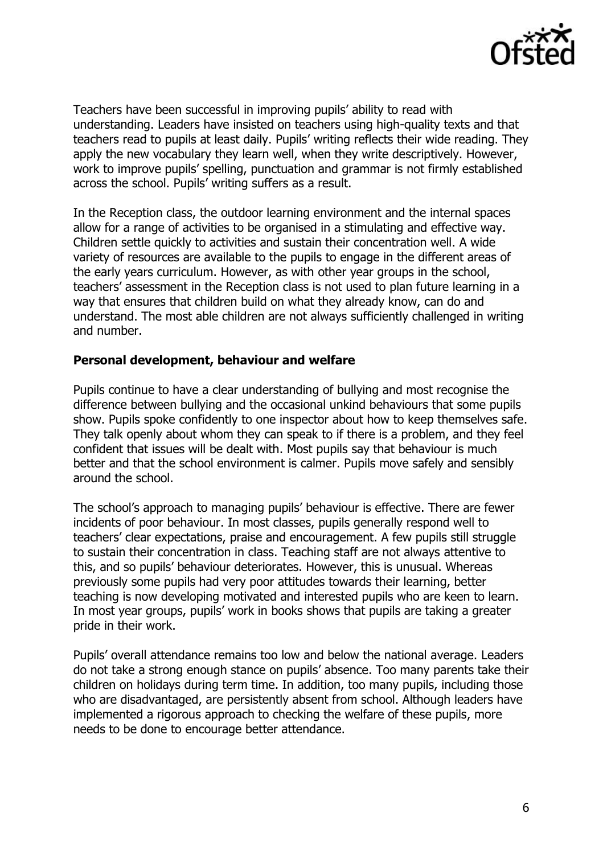

Teachers have been successful in improving pupils' ability to read with understanding. Leaders have insisted on teachers using high-quality texts and that teachers read to pupils at least daily. Pupils' writing reflects their wide reading. They apply the new vocabulary they learn well, when they write descriptively. However, work to improve pupils' spelling, punctuation and grammar is not firmly established across the school. Pupils' writing suffers as a result.

In the Reception class, the outdoor learning environment and the internal spaces allow for a range of activities to be organised in a stimulating and effective way. Children settle quickly to activities and sustain their concentration well. A wide variety of resources are available to the pupils to engage in the different areas of the early years curriculum. However, as with other year groups in the school, teachers' assessment in the Reception class is not used to plan future learning in a way that ensures that children build on what they already know, can do and understand. The most able children are not always sufficiently challenged in writing and number.

#### **Personal development, behaviour and welfare**

Pupils continue to have a clear understanding of bullying and most recognise the difference between bullying and the occasional unkind behaviours that some pupils show. Pupils spoke confidently to one inspector about how to keep themselves safe. They talk openly about whom they can speak to if there is a problem, and they feel confident that issues will be dealt with. Most pupils say that behaviour is much better and that the school environment is calmer. Pupils move safely and sensibly around the school.

The school's approach to managing pupils' behaviour is effective. There are fewer incidents of poor behaviour. In most classes, pupils generally respond well to teachers' clear expectations, praise and encouragement. A few pupils still struggle to sustain their concentration in class. Teaching staff are not always attentive to this, and so pupils' behaviour deteriorates. However, this is unusual. Whereas previously some pupils had very poor attitudes towards their learning, better teaching is now developing motivated and interested pupils who are keen to learn. In most year groups, pupils' work in books shows that pupils are taking a greater pride in their work.

Pupils' overall attendance remains too low and below the national average. Leaders do not take a strong enough stance on pupils' absence. Too many parents take their children on holidays during term time. In addition, too many pupils, including those who are disadvantaged, are persistently absent from school. Although leaders have implemented a rigorous approach to checking the welfare of these pupils, more needs to be done to encourage better attendance.